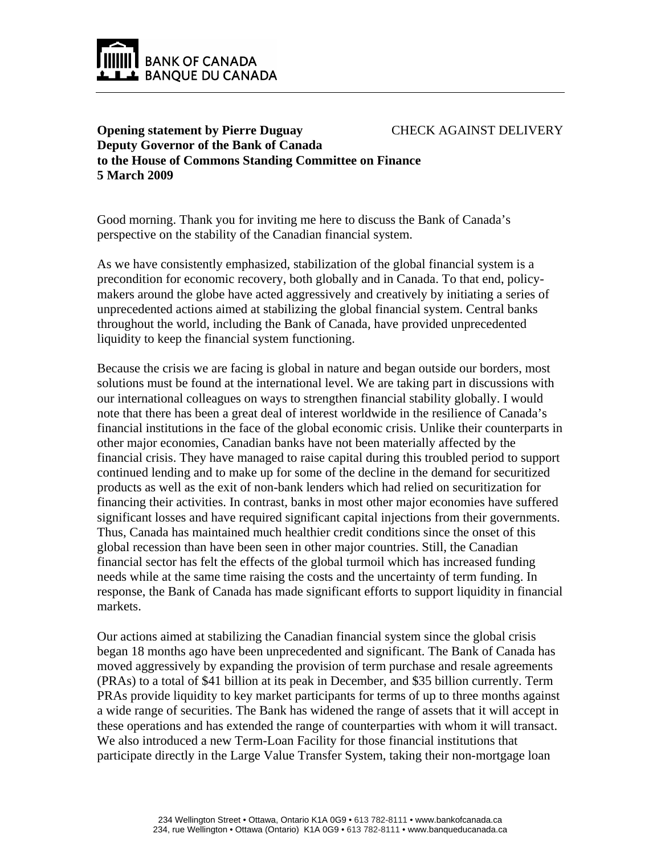

## **Opening statement by Pierre Duguay Deputy Governor of the Bank of Canada** CHECK AGAINST DELIVERY **to the House of Commons Standing Committee on Finance 5 March 2009**

Good morning. Thank you for inviting me here to discuss the Bank of Canada's perspective on the stability of the Canadian financial system.

As we have consistently emphasized, stabilization of the global financial system is a precondition for economic recovery, both globally and in Canada. To that end, policymakers around the globe have acted aggressively and creatively by initiating a series of unprecedented actions aimed at stabilizing the global financial system. Central banks throughout the world, including the Bank of Canada, have provided unprecedented liquidity to keep the financial system functioning.

Because the crisis we are facing is global in nature and began outside our borders, most solutions must be found at the international level. We are taking part in discussions with our international colleagues on ways to strengthen financial stability globally. I would note that there has been a great deal of interest worldwide in the resilience of Canada's financial institutions in the face of the global economic crisis. Unlike their counterparts in other major economies, Canadian banks have not been materially affected by the financial crisis. They have managed to raise capital during this troubled period to support continued lending and to make up for some of the decline in the demand for securitized products as well as the exit of non-bank lenders which had relied on securitization for financing their activities. In contrast, banks in most other major economies have suffered significant losses and have required significant capital injections from their governments. Thus, Canada has maintained much healthier credit conditions since the onset of this global recession than have been seen in other major countries. Still, the Canadian financial sector has felt the effects of the global turmoil which has increased funding needs while at the same time raising the costs and the uncertainty of term funding. In response, the Bank of Canada has made significant efforts to support liquidity in financial markets.

Our actions aimed at stabilizing the Canadian financial system since the global crisis began 18 months ago have been unprecedented and significant. The Bank of Canada has moved aggressively by expanding the provision of term purchase and resale agreements (PRAs) to a total of \$41 billion at its peak in December, and \$35 billion currently. Term PRAs provide liquidity to key market participants for terms of up to three months against a wide range of securities. The Bank has widened the range of assets that it will accept in these operations and has extended the range of counterparties with whom it will transact. We also introduced a new Term-Loan Facility for those financial institutions that participate directly in the Large Value Transfer System, taking their non-mortgage loan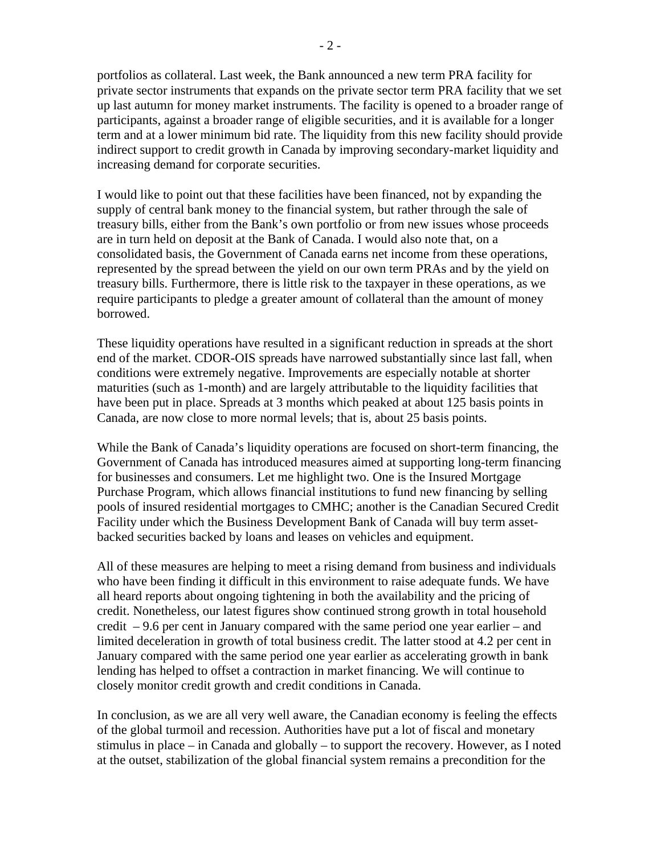portfolios as collateral. Last week, the Bank announced a new term PRA facility for private sector instruments that expands on the private sector term PRA facility that we set up last autumn for money market instruments. The facility is opened to a broader range of participants, against a broader range of eligible securities, and it is available for a longer term and at a lower minimum bid rate. The liquidity from this new facility should provide indirect support to credit growth in Canada by improving secondary-market liquidity and increasing demand for corporate securities.

I would like to point out that these facilities have been financed, not by expanding the supply of central bank money to the financial system, but rather through the sale of treasury bills, either from the Bank's own portfolio or from new issues whose proceeds are in turn held on deposit at the Bank of Canada. I would also note that, on a consolidated basis, the Government of Canada earns net income from these operations, represented by the spread between the yield on our own term PRAs and by the yield on treasury bills. Furthermore, there is little risk to the taxpayer in these operations, as we require participants to pledge a greater amount of collateral than the amount of money borrowed.

These liquidity operations have resulted in a significant reduction in spreads at the short end of the market. CDOR-OIS spreads have narrowed substantially since last fall, when conditions were extremely negative. Improvements are especially notable at shorter maturities (such as 1-month) and are largely attributable to the liquidity facilities that have been put in place. Spreads at 3 months which peaked at about 125 basis points in Canada, are now close to more normal levels; that is, about 25 basis points.

While the Bank of Canada's liquidity operations are focused on short-term financing, the Government of Canada has introduced measures aimed at supporting long-term financing for businesses and consumers. Let me highlight two. One is the Insured Mortgage Purchase Program, which allows financial institutions to fund new financing by selling pools of insured residential mortgages to CMHC; another is the Canadian Secured Credit Facility under which the Business Development Bank of Canada will buy term assetbacked securities backed by loans and leases on vehicles and equipment.

All of these measures are helping to meet a rising demand from business and individuals who have been finding it difficult in this environment to raise adequate funds. We have all heard reports about ongoing tightening in both the availability and the pricing of credit. Nonetheless, our latest figures show continued strong growth in total household credit – 9.6 per cent in January compared with the same period one year earlier – and limited deceleration in growth of total business credit. The latter stood at 4.2 per cent in January compared with the same period one year earlier as accelerating growth in bank lending has helped to offset a contraction in market financing. We will continue to closely monitor credit growth and credit conditions in Canada.

In conclusion, as we are all very well aware, the Canadian economy is feeling the effects of the global turmoil and recession. Authorities have put a lot of fiscal and monetary stimulus in place – in Canada and globally – to support the recovery. However, as I noted at the outset, stabilization of the global financial system remains a precondition for the